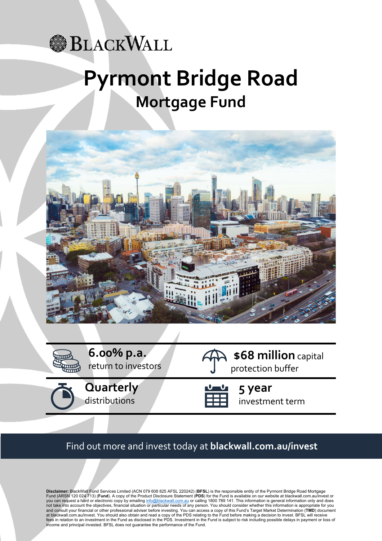## **BLACKWALL**

# **Pyrmont Bridge Road Mortgage Fund**



**6.00% p.a.** return to investors





protection buffer **5 year**

**\$68 million** capital

investment term

## Find out more and invest today at **blackwall.com.au/invest**

**Disclaimer:** BlackWall Fund Services Limited (ACN 079 608 825 AFSL 220242) (**BFSL**) is the responsible entity of the Pyrmont Bridge Road Mortgage Fund (ARSN 120 024 713) (**Fund**). A copy of the Product Disclosure Statement (**PDS**) for the Fund is available on our website at blackwall.com.au/invest or you can request a hard or electronic copy by emailing <u>info@blackwall.com.au</u> or calling 1800 789 141. This information is general information only and does<br>not take into account the objectives, financial situation or part and consult your financial or other professional adviser before investing. You can access a copy of this Fund's Target Market Determination (**TMD**) document at blackwall.com.au/invest. You should also obtain and read a copy of the PDS relating to the Fund before making a decision to invest. BFSL will receive fees in relation to an investment in the Fund as disclosed in the PDS. Investment in the Fund is subject to risk including possible delays in payment or loss of income and principal invested. BFSL does not guarantee the performance of the Fund.